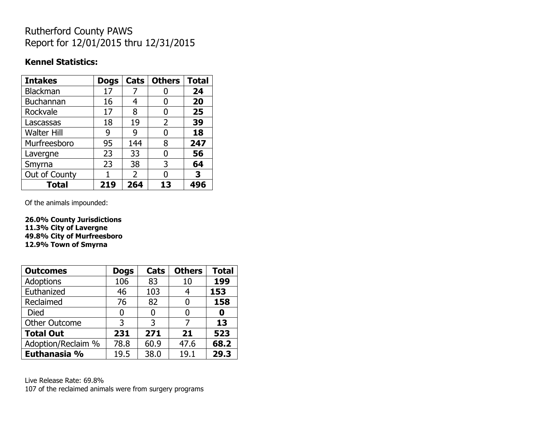## Rutherford County PAWS Report for 12/01/2015 thru 12/31/2015

### **Kennel Statistics:**

| <b>Intakes</b>     | <b>Dogs</b> | Cats           | <b>Others</b> | <b>Total</b> |
|--------------------|-------------|----------------|---------------|--------------|
| <b>Blackman</b>    | 17          |                |               | 24           |
| <b>Buchannan</b>   | 16          | 4              | 0             | 20           |
| Rockvale           | 17          | 8              | 0             | 25           |
| Lascassas          | 18          | 19             | 2             | 39           |
| <b>Walter Hill</b> | 9           | 9              | 0             | 18           |
| Murfreesboro       | 95          | 144            | 8             | 247          |
| Lavergne           | 23          | 33             | 0             | 56           |
| Smyrna             | 23          | 38             | 3             | 64           |
| Out of County      |             | $\overline{2}$ | n             | 3            |
| <b>Total</b>       | 219         | 264            | 13            | 496          |

Of the animals impounded:

**26.0% County Jurisdictions 11.3% City of Lavergne 49.8% City of Murfreesboro 12.9% Town of Smyrna**

| <b>Outcomes</b>      | <b>Dogs</b> | Cats | <b>Others</b> | <b>Total</b> |
|----------------------|-------------|------|---------------|--------------|
| <b>Adoptions</b>     | 106         | 83   | 10            | 199          |
| Euthanized           | 46          | 103  | 4             | 153          |
| Reclaimed            | 76          | 82   | 0             | 158          |
| <b>Died</b>          | 0           |      |               |              |
| <b>Other Outcome</b> | 3           | 3    |               | 13           |
| <b>Total Out</b>     | 231         | 271  | 21            | 523          |
| Adoption/Reclaim %   | 78.8        | 60.9 | 47.6          | 68.2         |
| Euthanasia %         | 19.5        | 38.0 | 19.1          | 29.3         |

Live Release Rate: 69.8% 107 of the reclaimed animals were from surgery programs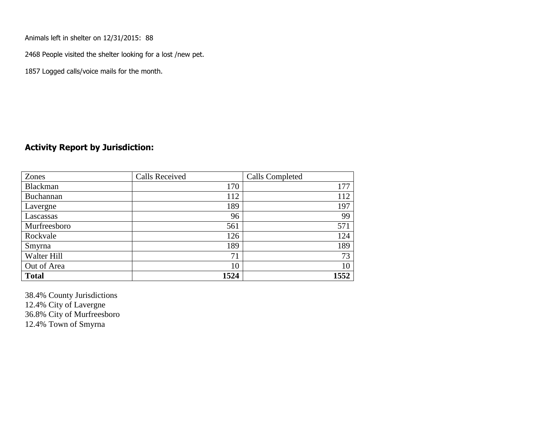Animals left in shelter on 12/31/2015: 88

2468 People visited the shelter looking for a lost /new pet.

1857 Logged calls/voice mails for the month.

#### **Activity Report by Jurisdiction:**

| Zones        | <b>Calls Received</b> | Calls Completed |
|--------------|-----------------------|-----------------|
| Blackman     | 170                   | 177             |
| Buchannan    | 112                   | 112             |
| Lavergne     | 189                   | 197             |
| Lascassas    | 96                    | 99              |
| Murfreesboro | 561                   | 571             |
| Rockvale     | 126                   | 124             |
| Smyrna       | 189                   | 189             |
| Walter Hill  | 71                    | 73              |
| Out of Area  | 10                    | 10              |
| <b>Total</b> | 1524                  | 1552            |

38.4% County Jurisdictions 12.4% City of Lavergne 36.8% City of Murfreesboro 12.4% Town of Smyrna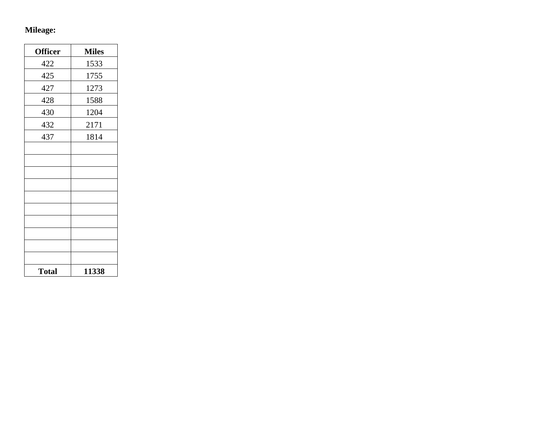# **Mileage:**

| <b>Officer</b> | <b>Miles</b> |
|----------------|--------------|
| 422            | 1533         |
| 425            | 1755         |
| 427            | 1273         |
| 428            | 1588         |
| 430            | 1204         |
| 432            | 2171         |
| 437            | 1814         |
|                |              |
|                |              |
|                |              |
|                |              |
|                |              |
|                |              |
|                |              |
|                |              |
|                |              |
|                |              |
| <b>Total</b>   | 11338        |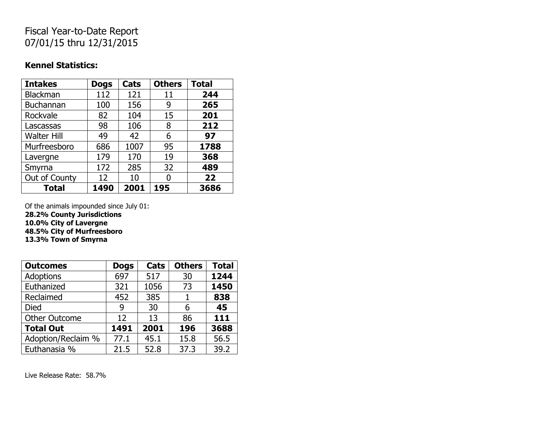## Fiscal Year-to-Date Report 07/01/15 thru 12/31/2015

### **Kennel Statistics:**

| <b>Intakes</b>     | <b>Dogs</b> | Cats | <b>Others</b> | <b>Total</b> |
|--------------------|-------------|------|---------------|--------------|
| <b>Blackman</b>    | 112         | 121  | 11            | 244          |
| <b>Buchannan</b>   | 100         | 156  | 9             | 265          |
| Rockvale           | 82          | 104  | 15            | 201          |
| Lascassas          | 98          | 106  | 8             | 212          |
| <b>Walter Hill</b> | 49          | 42   | 6             | 97           |
| Murfreesboro       | 686         | 1007 | 95            | 1788         |
| Lavergne           | 179         | 170  | 19            | 368          |
| Smyrna             | 172         | 285  | 32            | 489          |
| Out of County      | 12          | 10   | O             | 22           |
| <b>Total</b>       | 1490        | 2001 | 195           | 3686         |

Of the animals impounded since July 01: **28.2% County Jurisdictions**

**10.0% City of Lavergne**

**48.5% City of Murfreesboro**

**13.3% Town of Smyrna**

| <b>Outcomes</b>      | <b>Dogs</b> | Cats | <b>Others</b> | <b>Total</b> |
|----------------------|-------------|------|---------------|--------------|
| <b>Adoptions</b>     | 697         | 517  | 30            | 1244         |
| Euthanized           | 321         | 1056 | 73            | 1450         |
| Reclaimed            | 452         | 385  | 1             | 838          |
| <b>Died</b>          | 9           | 30   | 6             | 45           |
| <b>Other Outcome</b> | 12          | 13   | 86            | 111          |
| <b>Total Out</b>     | 1491        | 2001 | 196           | 3688         |
| Adoption/Reclaim %   | 77.1        | 45.1 | 15.8          | 56.5         |
| Euthanasia %         | 21.5        | 52.8 | 37.3          | 39.2         |

Live Release Rate: 58.7%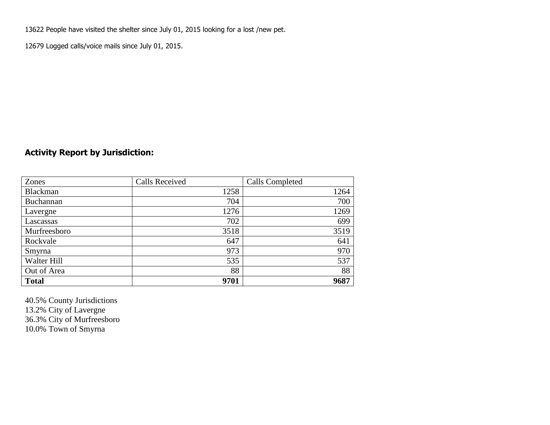13622 People have visited the shelter since July 01, 2015 looking for a lost /new pet.

12679 Logged calls/voice mails since July 01, 2015.

### **Activity Report by Jurisdiction:**

| Zones           | <b>Calls Received</b> | Calls Completed |
|-----------------|-----------------------|-----------------|
| <b>Blackman</b> | 1258                  | 1264            |
| Buchannan       | 704                   | 700             |
| Lavergne        | 1276                  | 1269            |
| Lascassas       | 702                   | 699             |
| Murfreesboro    | 3518                  | 3519            |
| Rockvale        | 647                   | 641             |
| Smyrna          | 973                   | 970             |
| Walter Hill     | 535                   | 537             |
| Out of Area     | 88                    | 88              |
| <b>Total</b>    | 9701                  | 9687            |

40.5% County Jurisdictions 13.2% City of Lavergne 36.3% City of Murfreesboro 10.0% Town of Smyrna